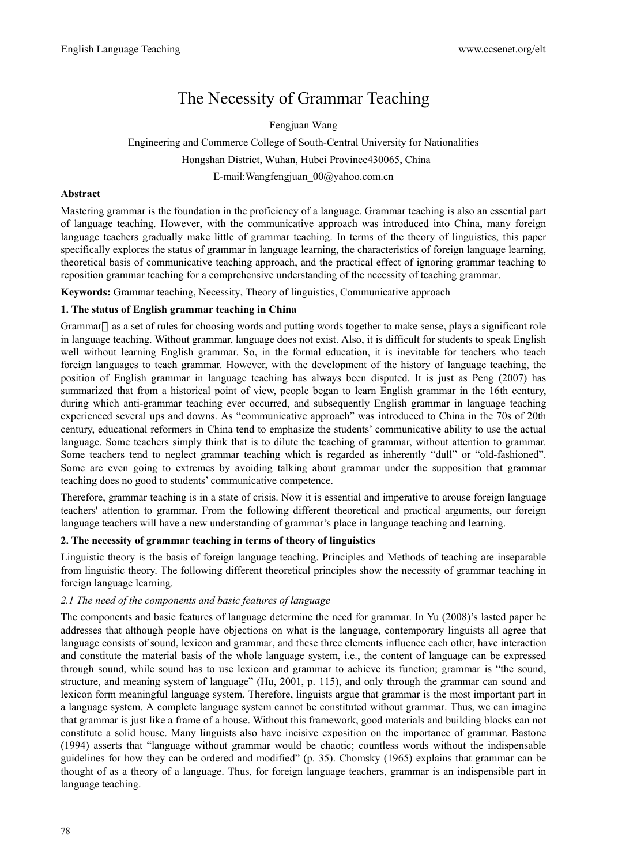# The Necessity of Grammar Teaching

Fengjuan Wang Engineering and Commerce College of South-Central University for Nationalities Hongshan District, Wuhan, Hubei Province430065, China E-mail:Wangfengjuan\_00@yahoo.com.cn

#### **Abstract**

Mastering grammar is the foundation in the proficiency of a language. Grammar teaching is also an essential part of language teaching. However, with the communicative approach was introduced into China, many foreign language teachers gradually make little of grammar teaching. In terms of the theory of linguistics, this paper specifically explores the status of grammar in language learning, the characteristics of foreign language learning, theoretical basis of communicative teaching approach, and the practical effect of ignoring grammar teaching to reposition grammar teaching for a comprehensive understanding of the necessity of teaching grammar.

**Keywords:** Grammar teaching, Necessity, Theory of linguistics, Communicative approach

## **1. The status of English grammar teaching in China**

Grammar as a set of rules for choosing words and putting words together to make sense, plays a significant role in language teaching. Without grammar, language does not exist. Also, it is difficult for students to speak English well without learning English grammar. So, in the formal education, it is inevitable for teachers who teach foreign languages to teach grammar. However, with the development of the history of language teaching, the position of English grammar in language teaching has always been disputed. It is just as Peng (2007) has summarized that from a historical point of view, people began to learn English grammar in the 16th century, during which anti-grammar teaching ever occurred, and subsequently English grammar in language teaching experienced several ups and downs. As "communicative approach" was introduced to China in the 70s of 20th century, educational reformers in China tend to emphasize the students' communicative ability to use the actual language. Some teachers simply think that is to dilute the teaching of grammar, without attention to grammar. Some teachers tend to neglect grammar teaching which is regarded as inherently "dull" or "old-fashioned". Some are even going to extremes by avoiding talking about grammar under the supposition that grammar teaching does no good to students' communicative competence.

Therefore, grammar teaching is in a state of crisis. Now it is essential and imperative to arouse foreign language teachers' attention to grammar. From the following different theoretical and practical arguments, our foreign language teachers will have a new understanding of grammar's place in language teaching and learning.

## **2. The necessity of grammar teaching in terms of theory of linguistics**

Linguistic theory is the basis of foreign language teaching. Principles and Methods of teaching are inseparable from linguistic theory. The following different theoretical principles show the necessity of grammar teaching in foreign language learning.

## *2.1 The need of the components and basic features of language*

The components and basic features of language determine the need for grammar. In Yu (2008)'s lasted paper he addresses that although people have objections on what is the language, contemporary linguists all agree that language consists of sound, lexicon and grammar, and these three elements influence each other, have interaction and constitute the material basis of the whole language system, i.e., the content of language can be expressed through sound, while sound has to use lexicon and grammar to achieve its function; grammar is "the sound, structure, and meaning system of language" (Hu, 2001, p. 115), and only through the grammar can sound and lexicon form meaningful language system. Therefore, linguists argue that grammar is the most important part in a language system. A complete language system cannot be constituted without grammar. Thus, we can imagine that grammar is just like a frame of a house. Without this framework, good materials and building blocks can not constitute a solid house. Many linguists also have incisive exposition on the importance of grammar. Bastone (1994) asserts that "language without grammar would be chaotic; countless words without the indispensable guidelines for how they can be ordered and modified" (p. 35). Chomsky (1965) explains that grammar can be thought of as a theory of a language. Thus, for foreign language teachers, grammar is an indispensible part in language teaching.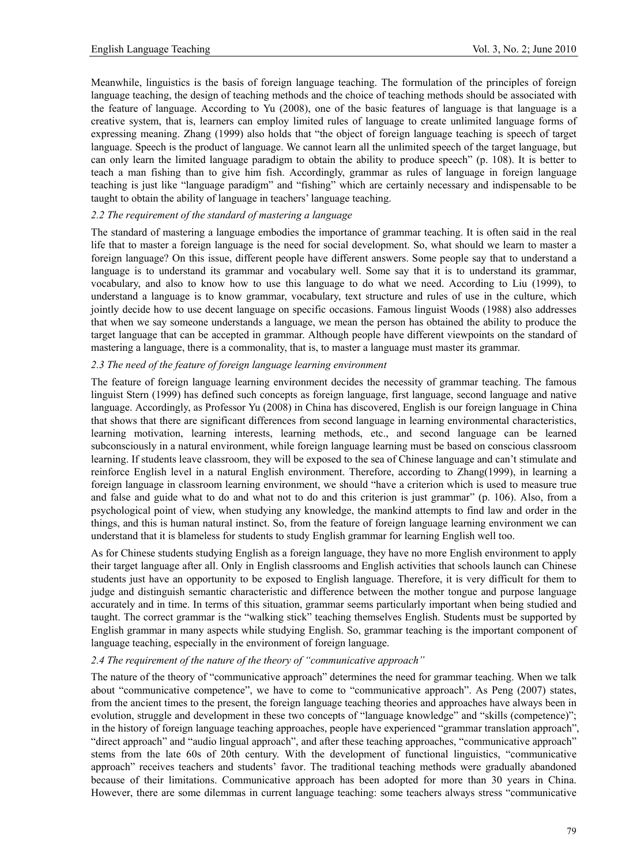Meanwhile, linguistics is the basis of foreign language teaching. The formulation of the principles of foreign language teaching, the design of teaching methods and the choice of teaching methods should be associated with the feature of language. According to Yu (2008), one of the basic features of language is that language is a creative system, that is, learners can employ limited rules of language to create unlimited language forms of expressing meaning. Zhang (1999) also holds that "the object of foreign language teaching is speech of target language. Speech is the product of language. We cannot learn all the unlimited speech of the target language, but can only learn the limited language paradigm to obtain the ability to produce speech" (p. 108). It is better to teach a man fishing than to give him fish. Accordingly, grammar as rules of language in foreign language teaching is just like "language paradigm" and "fishing" which are certainly necessary and indispensable to be taught to obtain the ability of language in teachers' language teaching.

## *2.2 The requirement of the standard of mastering a language*

The standard of mastering a language embodies the importance of grammar teaching. It is often said in the real life that to master a foreign language is the need for social development. So, what should we learn to master a foreign language? On this issue, different people have different answers. Some people say that to understand a language is to understand its grammar and vocabulary well. Some say that it is to understand its grammar, vocabulary, and also to know how to use this language to do what we need. According to Liu (1999), to understand a language is to know grammar, vocabulary, text structure and rules of use in the culture, which jointly decide how to use decent language on specific occasions. Famous linguist Woods (1988) also addresses that when we say someone understands a language, we mean the person has obtained the ability to produce the target language that can be accepted in grammar. Although people have different viewpoints on the standard of mastering a language, there is a commonality, that is, to master a language must master its grammar.

## *2.3 The need of the feature of foreign language learning environment*

The feature of foreign language learning environment decides the necessity of grammar teaching. The famous linguist Stern (1999) has defined such concepts as foreign language, first language, second language and native language. Accordingly, as Professor Yu (2008) in China has discovered, English is our foreign language in China that shows that there are significant differences from second language in learning environmental characteristics, learning motivation, learning interests, learning methods, etc., and second language can be learned subconsciously in a natural environment, while foreign language learning must be based on conscious classroom learning. If students leave classroom, they will be exposed to the sea of Chinese language and can't stimulate and reinforce English level in a natural English environment. Therefore, according to Zhang(1999), in learning a foreign language in classroom learning environment, we should "have a criterion which is used to measure true and false and guide what to do and what not to do and this criterion is just grammar" (p. 106). Also, from a psychological point of view, when studying any knowledge, the mankind attempts to find law and order in the things, and this is human natural instinct. So, from the feature of foreign language learning environment we can understand that it is blameless for students to study English grammar for learning English well too.

As for Chinese students studying English as a foreign language, they have no more English environment to apply their target language after all. Only in English classrooms and English activities that schools launch can Chinese students just have an opportunity to be exposed to English language. Therefore, it is very difficult for them to judge and distinguish semantic characteristic and difference between the mother tongue and purpose language accurately and in time. In terms of this situation, grammar seems particularly important when being studied and taught. The correct grammar is the "walking stick" teaching themselves English. Students must be supported by English grammar in many aspects while studying English. So, grammar teaching is the important component of language teaching, especially in the environment of foreign language.

## *2.4 The requirement of the nature of the theory of "communicative approach"*

The nature of the theory of "communicative approach" determines the need for grammar teaching. When we talk about "communicative competence", we have to come to "communicative approach". As Peng (2007) states, from the ancient times to the present, the foreign language teaching theories and approaches have always been in evolution, struggle and development in these two concepts of "language knowledge" and "skills (competence)"; in the history of foreign language teaching approaches, people have experienced "grammar translation approach", "direct approach" and "audio lingual approach", and after these teaching approaches, "communicative approach" stems from the late 60s of 20th century. With the development of functional linguistics, "communicative approach" receives teachers and students' favor. The traditional teaching methods were gradually abandoned because of their limitations. Communicative approach has been adopted for more than 30 years in China. However, there are some dilemmas in current language teaching: some teachers always stress "communicative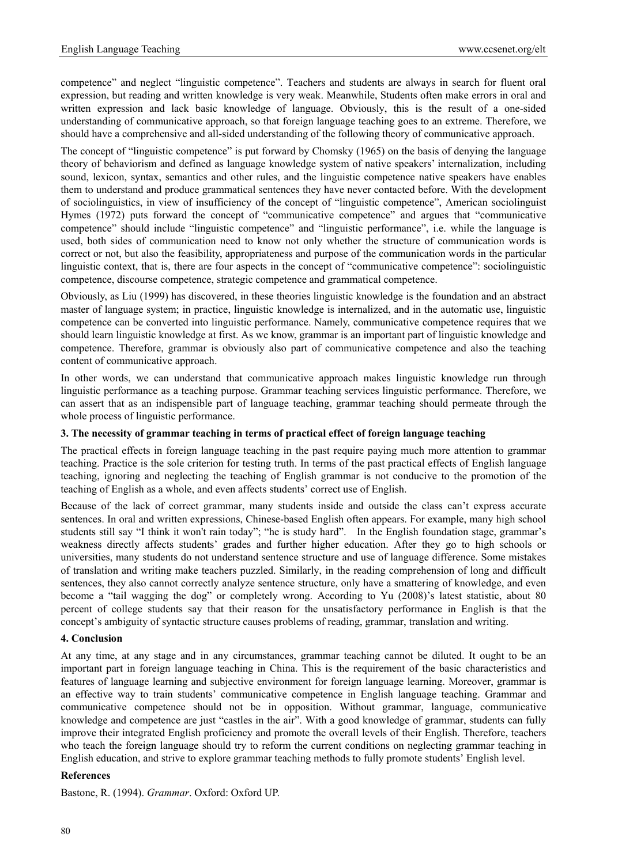competence" and neglect "linguistic competence". Teachers and students are always in search for fluent oral expression, but reading and written knowledge is very weak. Meanwhile, Students often make errors in oral and written expression and lack basic knowledge of language. Obviously, this is the result of a one-sided understanding of communicative approach, so that foreign language teaching goes to an extreme. Therefore, we should have a comprehensive and all-sided understanding of the following theory of communicative approach.

The concept of "linguistic competence" is put forward by Chomsky (1965) on the basis of denying the language theory of behaviorism and defined as language knowledge system of native speakers' internalization, including sound, lexicon, syntax, semantics and other rules, and the linguistic competence native speakers have enables them to understand and produce grammatical sentences they have never contacted before. With the development of sociolinguistics, in view of insufficiency of the concept of "linguistic competence", American sociolinguist Hymes (1972) puts forward the concept of "communicative competence" and argues that "communicative competence" should include "linguistic competence" and "linguistic performance", i.e. while the language is used, both sides of communication need to know not only whether the structure of communication words is correct or not, but also the feasibility, appropriateness and purpose of the communication words in the particular linguistic context, that is, there are four aspects in the concept of "communicative competence": sociolinguistic competence, discourse competence, strategic competence and grammatical competence.

Obviously, as Liu (1999) has discovered, in these theories linguistic knowledge is the foundation and an abstract master of language system; in practice, linguistic knowledge is internalized, and in the automatic use, linguistic competence can be converted into linguistic performance. Namely, communicative competence requires that we should learn linguistic knowledge at first. As we know, grammar is an important part of linguistic knowledge and competence. Therefore, grammar is obviously also part of communicative competence and also the teaching content of communicative approach.

In other words, we can understand that communicative approach makes linguistic knowledge run through linguistic performance as a teaching purpose. Grammar teaching services linguistic performance. Therefore, we can assert that as an indispensible part of language teaching, grammar teaching should permeate through the whole process of linguistic performance.

## **3. The necessity of grammar teaching in terms of practical effect of foreign language teaching**

The practical effects in foreign language teaching in the past require paying much more attention to grammar teaching. Practice is the sole criterion for testing truth. In terms of the past practical effects of English language teaching, ignoring and neglecting the teaching of English grammar is not conducive to the promotion of the teaching of English as a whole, and even affects students' correct use of English.

Because of the lack of correct grammar, many students inside and outside the class can't express accurate sentences. In oral and written expressions, Chinese-based English often appears. For example, many high school students still say "I think it won't rain today"; "he is study hard". In the English foundation stage, grammar's weakness directly affects students' grades and further higher education. After they go to high schools or universities, many students do not understand sentence structure and use of language difference. Some mistakes of translation and writing make teachers puzzled. Similarly, in the reading comprehension of long and difficult sentences, they also cannot correctly analyze sentence structure, only have a smattering of knowledge, and even become a "tail wagging the dog" or completely wrong. According to Yu (2008)'s latest statistic, about 80 percent of college students say that their reason for the unsatisfactory performance in English is that the concept's ambiguity of syntactic structure causes problems of reading, grammar, translation and writing.

## **4. Conclusion**

At any time, at any stage and in any circumstances, grammar teaching cannot be diluted. It ought to be an important part in foreign language teaching in China. This is the requirement of the basic characteristics and features of language learning and subjective environment for foreign language learning. Moreover, grammar is an effective way to train students' communicative competence in English language teaching. Grammar and communicative competence should not be in opposition. Without grammar, language, communicative knowledge and competence are just "castles in the air". With a good knowledge of grammar, students can fully improve their integrated English proficiency and promote the overall levels of their English. Therefore, teachers who teach the foreign language should try to reform the current conditions on neglecting grammar teaching in English education, and strive to explore grammar teaching methods to fully promote students' English level.

## **References**

Bastone, R. (1994). *Grammar*. Oxford: Oxford UP.